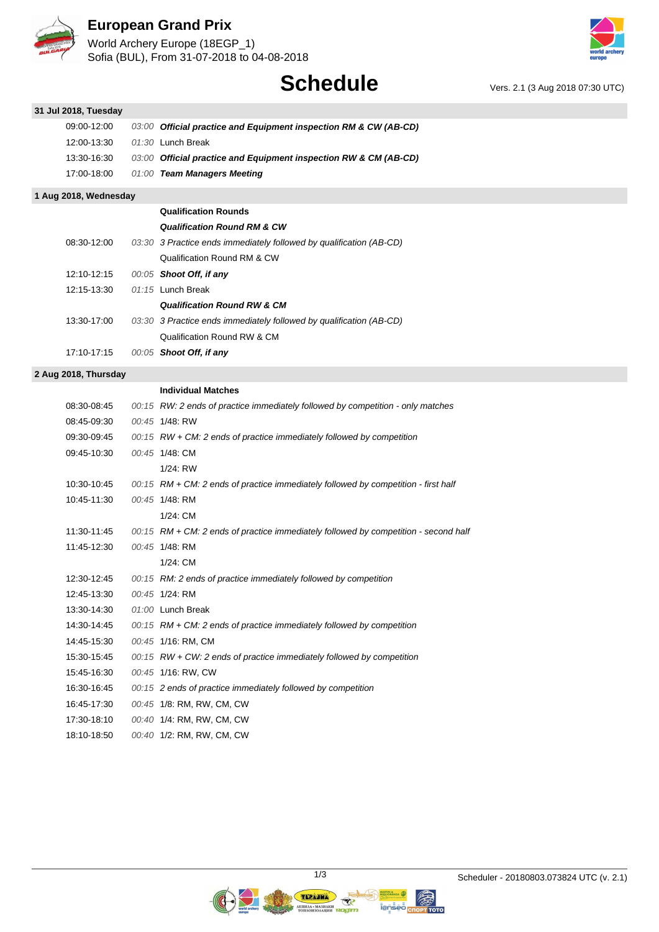

## **European Grand Prix**

World Archery Europe (18EGP\_1) Sofia (BUL), From 31-07-2018 to 04-08-2018



|                       |       | <b>Schedule</b>                                                                     | Vers. 2.1 (3 Aug 2018 07:30 UTC) |
|-----------------------|-------|-------------------------------------------------------------------------------------|----------------------------------|
| 31 Jul 2018, Tuesday  |       |                                                                                     |                                  |
| 09:00-12:00           | 03:00 | Official practice and Equipment inspection RM & CW (AB-CD)                          |                                  |
| 12:00-13:30           |       | 01:30 Lunch Break                                                                   |                                  |
| 13:30-16:30           |       | 03:00 Official practice and Equipment inspection RW & CM (AB-CD)                    |                                  |
| 17:00-18:00           |       | 01:00 Team Managers Meeting                                                         |                                  |
| 1 Aug 2018, Wednesday |       |                                                                                     |                                  |
|                       |       | <b>Qualification Rounds</b>                                                         |                                  |
|                       |       | <b>Qualification Round RM &amp; CW</b>                                              |                                  |
| 08:30-12:00           |       | 03:30 3 Practice ends immediately followed by qualification (AB-CD)                 |                                  |
|                       |       | Qualification Round RM & CW                                                         |                                  |
| 12:10-12:15           |       | 00:05 Shoot Off, if any                                                             |                                  |
| 12:15-13:30           |       | 01:15 Lunch Break                                                                   |                                  |
|                       |       | <b>Qualification Round RW &amp; CM</b>                                              |                                  |
| 13:30-17:00           |       | 03:30 3 Practice ends immediately followed by qualification (AB-CD)                 |                                  |
|                       |       | Qualification Round RW & CM                                                         |                                  |
| 17:10-17:15           |       | 00:05 Shoot Off, if any                                                             |                                  |
| 2 Aug 2018, Thursday  |       |                                                                                     |                                  |
|                       |       | <b>Individual Matches</b>                                                           |                                  |
| 08:30-08:45           |       | 00:15 RW: 2 ends of practice immediately followed by competition - only matches     |                                  |
| 08:45-09:30           |       | 00:45 1/48: RW                                                                      |                                  |
| 09:30-09:45           |       | 00:15 RW + CM: 2 ends of practice immediately followed by competition               |                                  |
| 09:45-10:30           |       | 00:45 1/48: CM                                                                      |                                  |
|                       |       | 1/24: RW                                                                            |                                  |
| 10:30-10:45           |       | 00:15 RM + CM: 2 ends of practice immediately followed by competition - first half  |                                  |
| 10:45-11:30           |       | 00:45 1/48: RM                                                                      |                                  |
|                       |       | 1/24: CM                                                                            |                                  |
| 11:30-11:45           |       | 00:15 RM + CM: 2 ends of practice immediately followed by competition - second half |                                  |
| 11:45-12:30           |       | 00:45 1/48: RM                                                                      |                                  |
|                       |       | 1/24: CM                                                                            |                                  |
| 12:30-12:45           |       | 00:15 RM: 2 ends of practice immediately followed by competition                    |                                  |
| 12:45-13:30           |       | 00:45 1/24: RM                                                                      |                                  |
| 13:30-14:30           |       | 01:00 Lunch Break                                                                   |                                  |
| 14:30-14:45           |       | 00:15 RM + CM: 2 ends of practice immediately followed by competition               |                                  |
| 14:45-15:30           |       | 00:45 1/16: RM, CM                                                                  |                                  |
| 15:30-15:45           |       | 00:15 RW + CW: 2 ends of practice immediately followed by competition               |                                  |
| 15:45-16:30           |       | 00:45 1/16: RW, CW                                                                  |                                  |
| 16:30-16:45           |       | 00:15 2 ends of practice immediately followed by competition                        |                                  |
| 16:45-17:30           |       | 00:45 1/8: RM, RW, CM, CW                                                           |                                  |
| 17:30-18:10           |       | 00:40 1/4: RM, RW, CM, CW                                                           |                                  |
| 18:10-18:50           |       | 00:40 1/2: RM, RW, CM, CW                                                           |                                  |

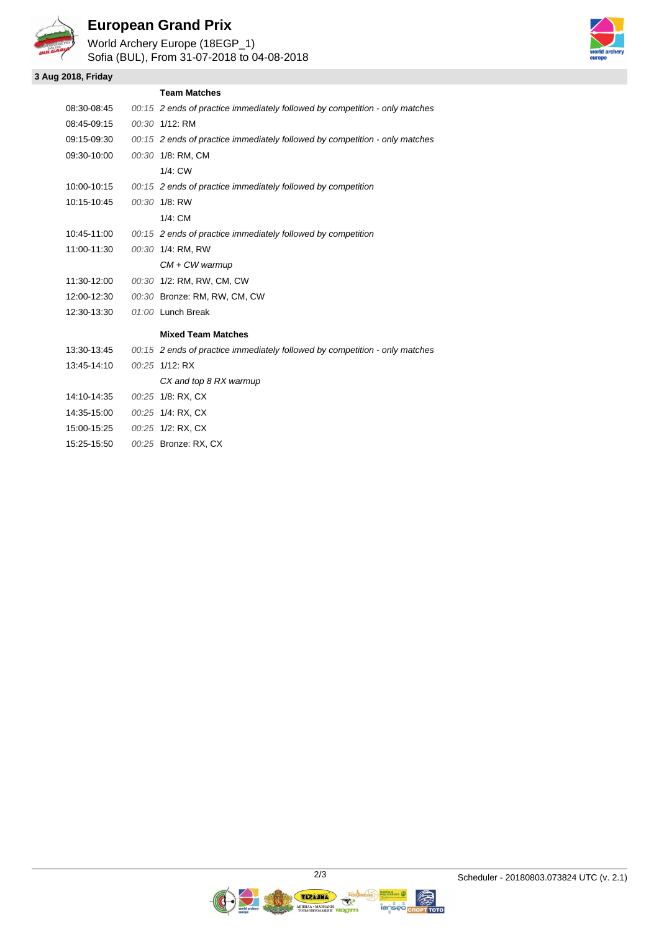

## **European Grand Prix**

World Archery Europe (18EGP\_1) Sofia (BUL), From 31-07-2018 to 04-08-2018

#### **3 Aug 2018, Friday**